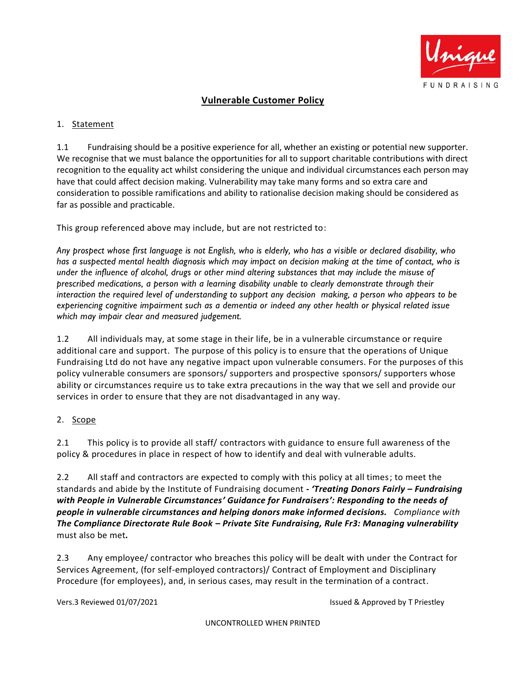

# **Vulnerable Customer Policy**

#### 1. Statement

1.1 Fundraising should be a positive experience for all, whether an existing or potential new supporter. We recognise that we must balance the opportunities for all to support charitable contributions with direct recognition to the equality act whilst considering the unique and individual circumstances each person may have that could affect decision making. Vulnerability may take many forms and so extra care and consideration to possible ramifications and ability to rationalise decision making should be considered as far as possible and practicable.

This group referenced above may include, but are not restricted to:

*Any prospect whose first language is not English, who is elderly, who has a visible or declared disability, who has a suspected mental health diagnosis which may impact on decision making at the time of contact, who is under the influence of alcohol, drugs or other mind altering substances that may include the misuse of prescribed medications, a person with a learning disability unable to clearly demonstrate through their interaction the required level of understanding to support any decision making, a person who appears to be experiencing cognitive impairment such as a dementia or indeed any other health or physical related issue which may impair clear and measured judgement.*

1.2 All individuals may, at some stage in their life, be in a vulnerable circumstance or require additional care and support. The purpose of this policy is to ensure that the operations of Unique Fundraising Ltd do not have any negative impact upon vulnerable consumers. For the purposes of this policy vulnerable consumers are sponsors/ supporters and prospective sponsors/ supporters whose ability or circumstances require us to take extra precautions in the way that we sell and provide our services in order to ensure that they are not disadvantaged in any way.

### 2. Scope

2.1 This policy is to provide all staff/ contractors with guidance to ensure full awareness of the policy & procedures in place in respect of how to identify and deal with vulnerable adults.

2.2 All staff and contractors are expected to comply with this policy at all times; to meet the standards and abide by the Institute of Fundraising document **-** *'Treating Donors Fairly – Fundraising with People in Vulnerable Circumstances' Guidance for Fundraisers': Responding to the needs of people in vulnerable circumstances and helping donors make informed decisions. Compliance with The Compliance Directorate Rule Book – Private Site Fundraising, Rule Fr3: Managing vulnerability*  must also be met*.*

2.3 Any employee/ contractor who breaches this policy will be dealt with under the Contract for Services Agreement, (for self-employed contractors)/ Contract of Employment and Disciplinary Procedure (for employees), and, in serious cases, may result in the termination of a contract.

Vers.3 Reviewed 01/07/2021 **ISSUE Accord By T Priestley** Issued & Approved by T Priestley

UNCONTROLLED WHEN PRINTED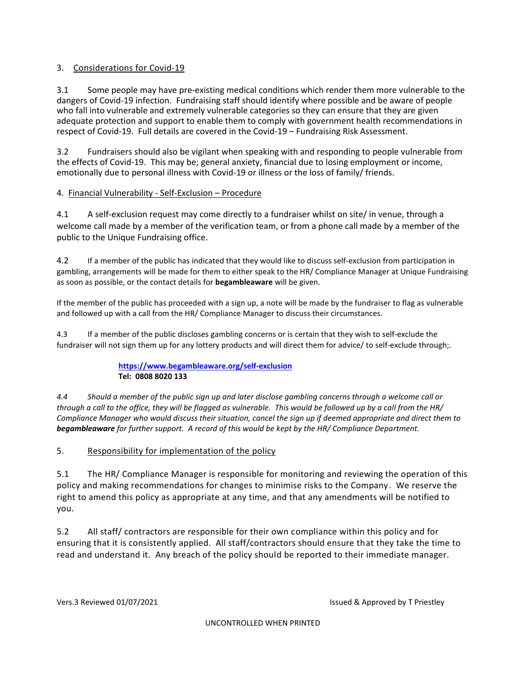### 3. Considerations for Covid-19

3.1 Some people may have pre-existing medical conditions which render them more vulnerable to the dangers of Covid-19 infection. Fundraising staff should identify where possible and be aware of people who fall into vulnerable and extremely vulnerable categories so they can ensure that they are given adequate protection and support to enable them to comply with government health recommendations in respect of Covid-19. Full details are covered in the Covid-19 – Fundraising Risk Assessment.

3.2 Fundraisers should also be vigilant when speaking with and responding to people vulnerable from the effects of Covid-19. This may be; general anxiety, financial due to losing employment or income, emotionally due to personal illness with Covid-19 or illness or the loss of family/ friends.

### 4. Financial Vulnerability - Self-Exclusion – Procedure

4.1 A self-exclusion request may come directly to a fundraiser whilst on site/ in venue, through a welcome call made by a member of the verification team, or from a phone call made by a member of the public to the Unique Fundraising office.

4.2 If a member of the public has indicated that they would like to discuss self-exclusion from participation in gambling, arrangements will be made for them to either speak to the HR/ Compliance Manager at Unique Fundraising as soon as possible, or the contact details for **begambleaware** will be given.

If the member of the public has proceeded with a sign up, a note will be made by the fundraiser to flag as vulnerable and followed up with a call from the HR/ Compliance Manager to discuss their circumstances.

4.3 If a member of the public discloses gambling concerns or is certain that they wish to self-exclude the fundraiser will not sign them up for any lottery products and will direct them for advice/ to self-exclude through;.

### **<https://www.begambleaware.org/self-exclusion> Tel: 0808 8020 133**

*4.4 Should a member of the public sign up and later disclose gambling concerns through a welcome call or through a call to the office, they will be flagged as vulnerable. This would be followed up by a call from the HR/ Compliance Manager who would discuss their situation, cancel the sign up if deemed appropriate and direct them to begambleaware for further support. A record of this would be kept by the HR/ Compliance Department.*

# 5. Responsibility for implementation of the policy

5.1 The HR/ Compliance Manager is responsible for monitoring and reviewing the operation of this policy and making recommendations for changes to minimise risks to the Company. We reserve the right to amend this policy as appropriate at any time, and that any amendments will be notified to you.

5.2 All staff/ contractors are responsible for their own compliance within this policy and for ensuring that it is consistently applied. All staff/contractors should ensure that they take the time to read and understand it. Any breach of the policy should be reported to their immediate manager.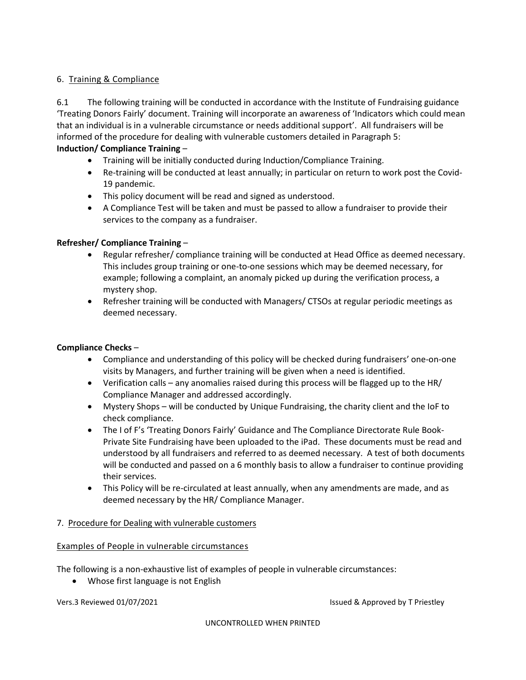## 6. Training & Compliance

6.1 The following training will be conducted in accordance with the Institute of Fundraising guidance 'Treating Donors Fairly' document. Training will incorporate an awareness of 'Indicators which could mean that an individual is in a vulnerable circumstance or needs additional support'. All fundraisers will be informed of the procedure for dealing with vulnerable customers detailed in Paragraph 5:

## **Induction/ Compliance Training** –

- Training will be initially conducted during Induction/Compliance Training.
- Re-training will be conducted at least annually; in particular on return to work post the Covid-19 pandemic.
- This policy document will be read and signed as understood.
- A Compliance Test will be taken and must be passed to allow a fundraiser to provide their services to the company as a fundraiser.

### **Refresher/ Compliance Training** –

- Regular refresher/ compliance training will be conducted at Head Office as deemed necessary. This includes group training or one-to-one sessions which may be deemed necessary, for example; following a complaint, an anomaly picked up during the verification process, a mystery shop.
- Refresher training will be conducted with Managers/ CTSOs at regular periodic meetings as deemed necessary.

### **Compliance Checks** –

- Compliance and understanding of this policy will be checked during fundraisers' one-on-one visits by Managers, and further training will be given when a need is identified.
- Verification calls any anomalies raised during this process will be flagged up to the HR/ Compliance Manager and addressed accordingly.
- Mystery Shops will be conducted by Unique Fundraising, the charity client and the IoF to check compliance.
- The I of F's 'Treating Donors Fairly' Guidance and The Compliance Directorate Rule Book-Private Site Fundraising have been uploaded to the iPad. These documents must be read and understood by all fundraisers and referred to as deemed necessary. A test of both documents will be conducted and passed on a 6 monthly basis to allow a fundraiser to continue providing their services.
- This Policy will be re-circulated at least annually, when any amendments are made, and as deemed necessary by the HR/ Compliance Manager.

### 7. Procedure for Dealing with vulnerable customers

### Examples of People in vulnerable circumstances

The following is a non-exhaustive list of examples of people in vulnerable circumstances:

• Whose first language is not English

Vers.3 Reviewed 01/07/2021 **In the state of the Contract Contract Contract Contract Contract Contract Contract Contract Contract Contract Contract Contract Contract Contract Contract Contract Contract Contract Contract Con** 

UNCONTROLLED WHEN PRINTED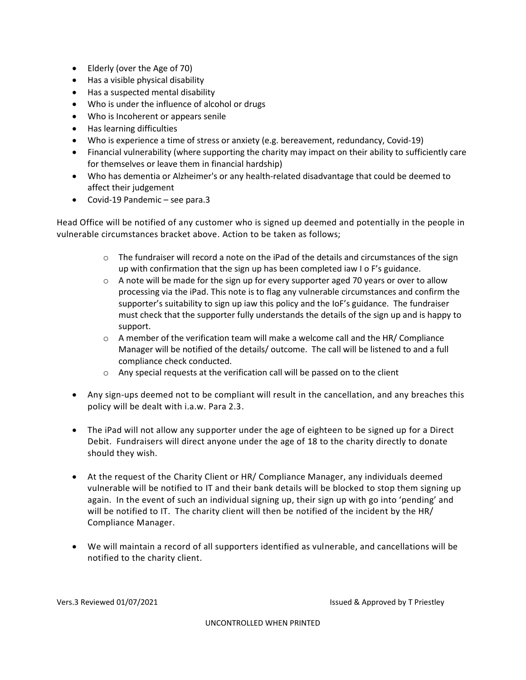- Elderly (over the Age of 70)
- Has a visible physical disability
- Has a suspected mental disability
- Who is under the influence of alcohol or drugs
- Who is Incoherent or appears senile
- Has learning difficulties
- Who is experience a time of stress or anxiety (e.g. bereavement, redundancy, Covid-19)
- Financial vulnerability (where supporting the charity may impact on their ability to sufficiently care for themselves or leave them in financial hardship)
- Who has dementia or Alzheimer's or any health-related disadvantage that could be deemed to affect their judgement
- Covid-19 Pandemic see para.3

Head Office will be notified of any customer who is signed up deemed and potentially in the people in vulnerable circumstances bracket above. Action to be taken as follows;

- $\circ$  The fundraiser will record a note on the iPad of the details and circumstances of the sign up with confirmation that the sign up has been completed iaw I o F's guidance.
- $\circ$  A note will be made for the sign up for every supporter aged 70 years or over to allow processing via the iPad. This note is to flag any vulnerable circumstances and confirm the supporter's suitability to sign up iaw this policy and the IoF's guidance. The fundraiser must check that the supporter fully understands the details of the sign up and is happy to support.
- $\circ$  A member of the verification team will make a welcome call and the HR/ Compliance Manager will be notified of the details/ outcome. The call will be listened to and a full compliance check conducted.
- o Any special requests at the verification call will be passed on to the client
- Any sign-ups deemed not to be compliant will result in the cancellation, and any breaches this policy will be dealt with i.a.w. Para 2.3.
- The iPad will not allow any supporter under the age of eighteen to be signed up for a Direct Debit. Fundraisers will direct anyone under the age of 18 to the charity directly to donate should they wish.
- At the request of the Charity Client or HR/ Compliance Manager, any individuals deemed vulnerable will be notified to IT and their bank details will be blocked to stop them signing up again. In the event of such an individual signing up, their sign up with go into 'pending' and will be notified to IT. The charity client will then be notified of the incident by the HR/ Compliance Manager.
- We will maintain a record of all supporters identified as vulnerable, and cancellations will be notified to the charity client.